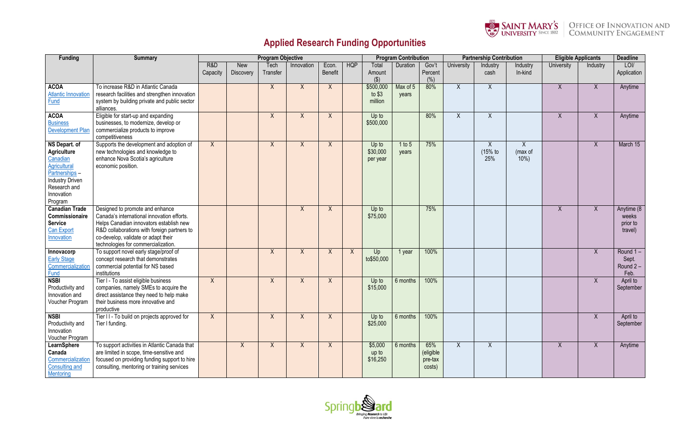

## **Applied Research Funding Opportunities**

| <b>Funding</b>                 | <b>Summary</b>                                                 | <b>Program Objective</b> |                                |                    |            |                         |            | <b>Program Contribution</b> |          |                  |            | <b>Partnership Contribution</b> |                     | <b>Eligible Applicants</b> |              | <b>Deadline</b>     |
|--------------------------------|----------------------------------------------------------------|--------------------------|--------------------------------|--------------------|------------|-------------------------|------------|-----------------------------|----------|------------------|------------|---------------------------------|---------------------|----------------------------|--------------|---------------------|
|                                |                                                                | R&D<br>Capacity          | <b>New</b><br><b>Discovery</b> | Tech<br>Transfer   | Innovation | Econ.<br><b>Benefit</b> | <b>HQP</b> | Total<br>Amount             | Duration | Gov't<br>Percent | University | Industry<br>cash                | Industry<br>In-kind | University                 | Industry     | LOI/<br>Application |
|                                |                                                                |                          |                                |                    |            |                         |            | $($ \$)                     |          | (% )             |            |                                 |                     |                            |              |                     |
| <b>ACOA</b>                    | To increase R&D in Atlantic Canada                             |                          |                                | X                  | X          | X                       |            | \$500,000                   | Max of 5 | 80%              | Χ          | $\mathsf{X}$                    |                     | $\boldsymbol{X}$           | X            | Anytime             |
| <b>Atlantic Innovation</b>     | research facilities and strengthen innovation                  |                          |                                |                    |            |                         |            | to $$3$                     | years    |                  |            |                                 |                     |                            |              |                     |
| <b>Fund</b>                    | system by building private and public sector                   |                          |                                |                    |            |                         |            | million                     |          |                  |            |                                 |                     |                            |              |                     |
|                                | alliances.                                                     |                          |                                |                    |            |                         |            |                             |          |                  |            |                                 |                     |                            |              |                     |
| <b>ACOA</b>                    | Eligible for start-up and expanding                            |                          |                                | X                  | X          | X                       |            | Up to                       |          | 80%              | X          | $\overline{X}$                  |                     | $\sf X$                    | $\sf X$      | Anytime             |
| <b>Business</b>                | businesses, to modernize, develop or                           |                          |                                |                    |            |                         |            | \$500,000                   |          |                  |            |                                 |                     |                            |              |                     |
| <b>Development Plan</b>        | commercialize products to improve<br>competitiveness           |                          |                                |                    |            |                         |            |                             |          |                  |            |                                 |                     |                            |              |                     |
| NS Depart. of                  | Supports the development and adoption of                       | X                        |                                | X                  | X          | X                       |            | Up to                       | 1 to 5   | 75%              |            | X                               | $\boldsymbol{X}$    |                            | X            | March 15            |
| <b>Agriculture</b>             | new technologies and knowledge to                              |                          |                                |                    |            |                         |            | \$30,000                    | years    |                  |            | $(15%$ to                       | (max of             |                            |              |                     |
| Canadian                       | enhance Nova Scotia's agriculture                              |                          |                                |                    |            |                         |            | per year                    |          |                  |            | 25%                             | $10%$ )             |                            |              |                     |
| <b>Agricultural</b>            | economic position.                                             |                          |                                |                    |            |                         |            |                             |          |                  |            |                                 |                     |                            |              |                     |
| Partnerships -                 |                                                                |                          |                                |                    |            |                         |            |                             |          |                  |            |                                 |                     |                            |              |                     |
| <b>Industry Driven</b>         |                                                                |                          |                                |                    |            |                         |            |                             |          |                  |            |                                 |                     |                            |              |                     |
| Research and                   |                                                                |                          |                                |                    |            |                         |            |                             |          |                  |            |                                 |                     |                            |              |                     |
| Innovation                     |                                                                |                          |                                |                    |            |                         |            |                             |          |                  |            |                                 |                     |                            |              |                     |
| Program                        |                                                                |                          |                                |                    |            |                         |            |                             |          |                  |            |                                 |                     |                            |              |                     |
| <b>Canadian Trade</b>          | Designed to promote and enhance                                |                          |                                |                    | X          | X                       |            | Up to                       |          | 75%              |            |                                 |                     | X                          | X            | Anytime (8          |
| Commissionaire                 | Canada's international innovation efforts.                     |                          |                                |                    |            |                         |            | \$75,000                    |          |                  |            |                                 |                     |                            |              | weeks               |
| <b>Service</b>                 | Helps Canadian innovators establish new                        |                          |                                |                    |            |                         |            |                             |          |                  |            |                                 |                     |                            |              | prior to            |
| <b>Can Export</b>              | R&D collaborations with foreign partners to                    |                          |                                |                    |            |                         |            |                             |          |                  |            |                                 |                     |                            |              | travel)             |
| Innovation                     | co-develop, validate or adapt their                            |                          |                                |                    |            |                         |            |                             |          |                  |            |                                 |                     |                            |              |                     |
|                                | technologies for commercialization.                            |                          |                                |                    |            |                         |            |                             |          |                  |            |                                 |                     |                            |              |                     |
| Innovacorp                     | To support novel early stage/proof of                          |                          |                                | $\pmb{\mathsf{X}}$ | Χ          | X                       | X          | Up                          | 1 year   | 100%             |            |                                 |                     |                            | $\sf X$      | Round $1 -$         |
| <b>Early Stage</b>             | concept research that demonstrates                             |                          |                                |                    |            |                         |            | to\$50,000                  |          |                  |            |                                 |                     |                            |              | Sept.               |
| Commercialization              | commercial potential for NS based                              |                          |                                |                    |            |                         |            |                             |          |                  |            |                                 |                     |                            |              | Round $2 -$         |
| <b>Fund</b>                    | institutions                                                   |                          |                                |                    |            |                         |            |                             |          |                  |            |                                 |                     |                            |              | Feb.                |
| <b>NSBI</b>                    | Tier I - To assist eligible business                           | X                        |                                | $\pmb{\mathsf{X}}$ | Χ          | X                       |            | Up to                       | 6 months | 100%             |            |                                 |                     |                            | X            | April to            |
| Productivity and               | companies, namely SMEs to acquire the                          |                          |                                |                    |            |                         |            | \$15,000                    |          |                  |            |                                 |                     |                            |              | September           |
| Innovation and                 | direct assistance they need to help make                       |                          |                                |                    |            |                         |            |                             |          |                  |            |                                 |                     |                            |              |                     |
| Voucher Program                | their business more innovative and                             |                          |                                |                    |            |                         |            |                             |          |                  |            |                                 |                     |                            |              |                     |
|                                | productive                                                     |                          |                                |                    |            |                         |            |                             |          | 100%             |            |                                 |                     |                            |              |                     |
| <b>NSBI</b>                    | Tier II - To build on projects approved for<br>Tier I funding. | $\sf X$                  |                                | $\mathsf{X}$       | X          | X                       |            | Up to<br>\$25,000           | 6 months |                  |            |                                 |                     |                            | $\mathsf{X}$ | April to            |
| Productivity and<br>Innovation |                                                                |                          |                                |                    |            |                         |            |                             |          |                  |            |                                 |                     |                            |              | September           |
| Voucher Program                |                                                                |                          |                                |                    |            |                         |            |                             |          |                  |            |                                 |                     |                            |              |                     |
| LearnSphere                    | To support activities in Atlantic Canada that                  |                          | $\mathsf{X}$                   | X                  | X          | X                       |            | \$5,000                     | 6 months | 65%              | X          | $\sf X$                         |                     | X                          | X            | Anytime             |
| Canada                         | are limited in scope, time-sensitive and                       |                          |                                |                    |            |                         |            | up to                       |          | (eligible        |            |                                 |                     |                            |              |                     |
| Commercialization              | focused on providing funding support to hire                   |                          |                                |                    |            |                         |            | \$16,250                    |          | pre-tax          |            |                                 |                     |                            |              |                     |
| <b>Consulting and</b>          | consulting, mentoring or training services                     |                          |                                |                    |            |                         |            |                             |          | costs)           |            |                                 |                     |                            |              |                     |
| <b>Mentoring</b>               |                                                                |                          |                                |                    |            |                         |            |                             |          |                  |            |                                 |                     |                            |              |                     |





## SAINT MARY'S OFFICE OF INNOVATION AND UNIVERSITY SINCE 1802 COMMUNITY ENGAGEMENT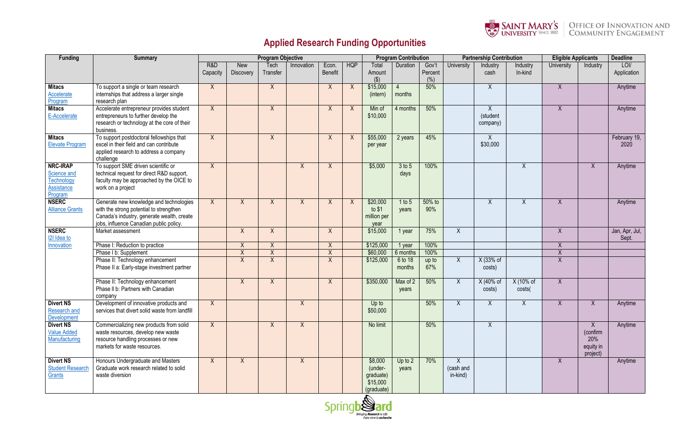

## **Applied Research Funding Opportunities**

| <b>Funding</b>                                                               | <b>Summary</b>                                                                                                                                                              | <b>Program Objective</b> |                         |                  |            |                         |              |                                                           | <b>Program Contribution</b> |                             |                                  | <b>Partnership Contribution</b> |                     | <b>Eligible Applicants</b> |                                               | <b>Deadline</b>         |
|------------------------------------------------------------------------------|-----------------------------------------------------------------------------------------------------------------------------------------------------------------------------|--------------------------|-------------------------|------------------|------------|-------------------------|--------------|-----------------------------------------------------------|-----------------------------|-----------------------------|----------------------------------|---------------------------------|---------------------|----------------------------|-----------------------------------------------|-------------------------|
|                                                                              |                                                                                                                                                                             | R&D<br>Capacity          | New<br><b>Discovery</b> | Tech<br>Transfer | Innovation | Econ.<br><b>Benefit</b> | <b>HQP</b>   | Total<br>Amount<br>$($ $\Diamond$ )                       | Duration                    | Gov't<br>Percent<br>$(\% )$ | University                       | Industry<br>cash                | Industry<br>In-kind | University                 | Industry                                      | LOI/<br>Application     |
| <b>Mitacs</b><br>Accelerate<br>Program                                       | To support a single or team research<br>internships that address a larger single<br>research plan                                                                           | X                        |                         | X                |            | X                       | X            | \$15,000<br>(intern)                                      | months                      | 50%                         |                                  | $\mathsf{X}$                    |                     | X                          |                                               | Anytime                 |
| <b>Mitacs</b><br>E-Accelerate                                                | Accelerate entrepreneur provides student<br>entrepreneurs to further develop the<br>research or technology at the core of their<br>business.                                | X                        |                         | X                |            | X                       | X            | Min of<br>\$10,000                                        | 4 months                    | 50%                         |                                  | Χ<br>(student<br>company)       |                     | X                          |                                               | Anytime                 |
| <b>Mitacs</b><br><b>Elevate Program</b>                                      | To support postdoctoral fellowships that<br>excel in their field and can contribute<br>applied research to address a company<br>challenge                                   | X                        |                         | X                |            | X                       | $\mathsf{X}$ | \$55,000<br>per year                                      | 2 years                     | 45%                         |                                  | Χ<br>\$30,000                   |                     |                            |                                               | February 19,<br>2020    |
| <b>NRC-IRAP</b><br>Science and<br>Technology<br><b>Assistance</b><br>Program | To support SME driven scientific or<br>technical request for direct R&D support,<br>faculty may be approached by the OICE to<br>work on a project                           | X                        |                         |                  | X          | X                       |              | \$5,000                                                   | 3 to 5<br>days              | 100%                        |                                  |                                 | $\mathsf{X}$        |                            | $\mathsf{X}$                                  | Anytime                 |
| <b>NSERC</b><br><b>Alliance Grants</b>                                       | Generate new knowledge and technologies<br>with the strong potential to strengthen<br>Canada's industry, generate wealth, create<br>jobs, influence Canadian public policy. | X                        | X                       | X                | X          | X                       | X            | \$20,000<br>to $$1$<br>million per<br>year                | 1 to 5<br>years             | 50% to<br>90%               |                                  | X                               | X                   | X                          |                                               | Anytime                 |
| <b>NSERC</b><br><b>I2I</b> Idea to                                           | Market assessment                                                                                                                                                           |                          | X                       | X                |            | $\sf X$                 |              | \$15,000                                                  | 1 year                      | 75%                         | $\sf X$                          |                                 |                     | X                          |                                               | Jan, Apr, Jul,<br>Sept. |
| Innovation                                                                   | Phase I: Reduction to practice                                                                                                                                              |                          | $\pmb{\mathsf{X}}$      | $\sf X$          |            | $\sf X$                 |              | \$125,000                                                 | 1 year                      | 100%                        |                                  |                                 |                     | $\mathsf{X}$               |                                               |                         |
|                                                                              | Phase I b: Supplement                                                                                                                                                       |                          | $\sf X$                 | $\pmb{\chi}$     |            | $\sf X$                 |              | \$60,000                                                  | 6 months                    | 100%                        |                                  |                                 |                     | $\overline{X}$             |                                               |                         |
|                                                                              | Phase II: Technology enhancement<br>Phase II a: Early-stage investment partner                                                                                              |                          | $\sf X$                 | X                |            | X                       |              | \$125,000                                                 | 6 to 18<br>months           | up to<br>67%                | X                                | X (33% of<br>costs)             |                     | $\mathsf{X}$               |                                               |                         |
|                                                                              | Phase II: Technology enhancement<br>Phase II b: Partners with Canadian<br>company                                                                                           |                          | X                       | X                |            | X                       |              | \$350,000                                                 | Max of 2<br>years           | 50%                         | X                                | X (40% of<br>costs)             | X (10% of<br>costs( | X                          |                                               |                         |
| <b>Divert NS</b><br><b>Research and</b><br>Development                       | Development of innovative products and<br>services that divert solid waste from landfill                                                                                    | X                        |                         |                  | X          |                         |              | Up to<br>\$50,000                                         |                             | 50%                         |                                  | Χ                               | Χ                   | Χ                          | X                                             | Anytime                 |
| <b>Divert NS</b><br><b>Value Added</b><br>Manufacturing                      | Commercializing new products from solid<br>waste resources, develop new waste<br>resource handling processes or new<br>markets for waste resources.                         | X                        |                         | X                | X          |                         |              | No limit                                                  |                             | 50%                         |                                  | $\mathsf{X}$                    |                     |                            | X<br>(confirm<br>20%<br>equity in<br>project) | Anytime                 |
| <b>Divert NS</b><br><b>Student Research</b><br>Grants                        | Honours Undergraduate and Masters<br>Graduate work research related to solid<br>waste diversion                                                                             | X                        | X                       |                  | X          |                         |              | \$8,000<br>(under-<br>graduate)<br>\$15,000<br>(graduate) | Up to $2$<br>years          | 70%                         | $\sf X$<br>(cash and<br>in-kind) |                                 |                     | X                          |                                               | Anytime                 |